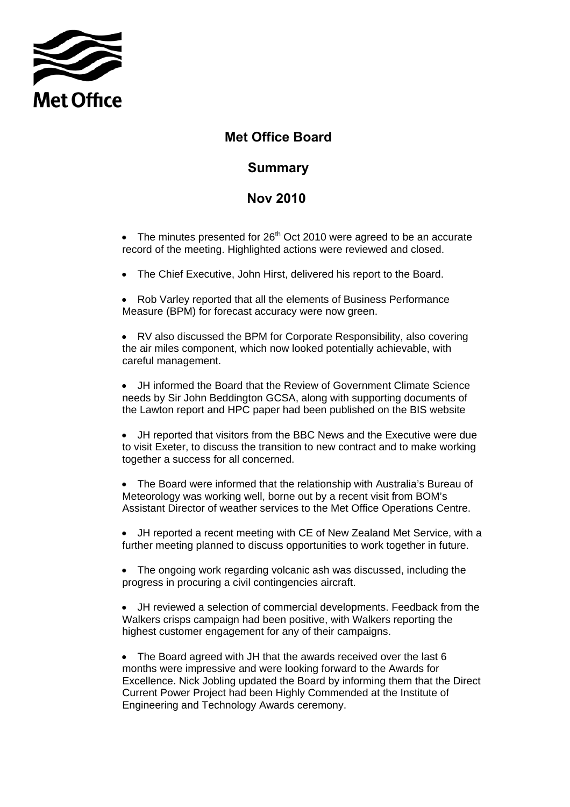

## **Met Office Board**

## **Summary**

## **Nov 2010**

• The minutes presented for  $26<sup>th</sup>$  Oct 2010 were agreed to be an accurate record of the meeting. Highlighted actions were reviewed and closed.

• The Chief Executive, John Hirst, delivered his report to the Board.

• Rob Varley reported that all the elements of Business Performance Measure (BPM) for forecast accuracy were now green.

• RV also discussed the BPM for Corporate Responsibility, also covering the air miles component, which now looked potentially achievable, with careful management.

• JH informed the Board that the Review of Government Climate Science needs by Sir John Beddington GCSA, along with supporting documents of the Lawton report and HPC paper had been published on the BIS website

• JH reported that visitors from the BBC News and the Executive were due to visit Exeter, to discuss the transition to new contract and to make working together a success for all concerned.

• The Board were informed that the relationship with Australia's Bureau of Meteorology was working well, borne out by a recent visit from BOM's Assistant Director of weather services to the Met Office Operations Centre.

• JH reported a recent meeting with CE of New Zealand Met Service, with a further meeting planned to discuss opportunities to work together in future.

• The ongoing work regarding volcanic ash was discussed, including the progress in procuring a civil contingencies aircraft.

• JH reviewed a selection of commercial developments. Feedback from the Walkers crisps campaign had been positive, with Walkers reporting the highest customer engagement for any of their campaigns.

• The Board agreed with JH that the awards received over the last 6 months were impressive and were looking forward to the Awards for Excellence. Nick Jobling updated the Board by informing them that the Direct Current Power Project had been Highly Commended at the Institute of Engineering and Technology Awards ceremony.